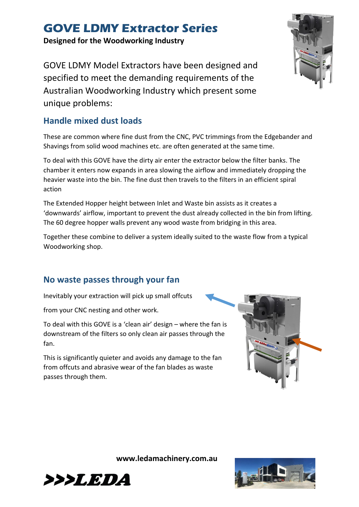**Designed for the Woodworking Industry**

GOVE LDMY Model Extractors have been designed and specified to meet the demanding requirements of the Australian Woodworking Industry which present some unique problems:

### **Handle mixed dust loads**

These are common where fine dust from the CNC, PVC trimmings from the Edgebander and Shavings from solid wood machines etc. are often generated at the same time.

To deal with this GOVE have the dirty air enter the extractor below the filter banks. The chamber it enters now expands in area slowing the airflow and immediately dropping the heavier waste into the bin. The fine dust then travels to the filters in an efficient spiral action

The Extended Hopper height between Inlet and Waste bin assists as it creates a 'downwards' airflow, important to prevent the dust already collected in the bin from lifting. The 60 degree hopper walls prevent any wood waste from bridging in this area.

Together these combine to deliver a system ideally suited to the waste flow from a typical Woodworking shop.

## **No waste passes through your fan**

Inevitably your extraction will pick up small offcuts

from your CNC nesting and other work.

To deal with this GOVE is a 'clean air' design – where the fan is downstream of the filters so only clean air passes through the fan.

This is significantly quieter and avoids any damage to the fan from offcuts and abrasive wear of the fan blades as waste passes through them.







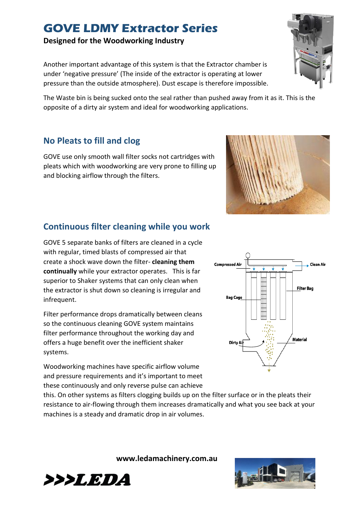**Designed for the Woodworking Industry**

Another important advantage of this system is that the Extractor chamber is under 'negative pressure' (The inside of the extractor is operating at lower pressure than the outside atmosphere). Dust escape is therefore impossible.

The Waste bin is being sucked onto the seal rather than pushed away from it as it. This is the opposite of a dirty air system and ideal for woodworking applications.

## **No Pleats to fill and clog**

GOVE use only smooth wall filter socks not cartridges with pleats which with woodworking are very prone to filling up and blocking airflow through the filters.

## **Continuous filter cleaning while you work**

GOVE 5 separate banks of filters are cleaned in a cycle with regular, timed blasts of compressed air that create a shock wave down the filter- **cleaning them continually** while your extractor operates. This is far superior to Shaker systems that can only clean when the extractor is shut down so cleaning is irregular and infrequent.

Filter performance drops dramatically between cleans so the continuous cleaning GOVE system maintains filter performance throughout the working day and offers a huge benefit over the inefficient shaker systems.

Woodworking machines have specific airflow volume and pressure requirements and it's important to meet these continuously and only reverse pulse can achieve

this. On other systems as filters clogging builds up on the filter surface or in the pleats their resistance to air-flowing through them increases dramatically and what you see back at your machines is a steady and dramatic drop in air volumes.









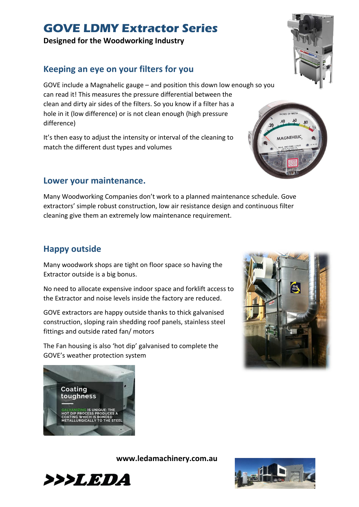**Designed for the Woodworking Industry**

## **Keeping an eye on your filters for you**

GOVE include a Magnahelic gauge – and position this down low enough so you can read it! This measures the pressure differential between the clean and dirty air sides of the filters. So you know if a filter has a hole in it (low difference) or is not clean enough (high pressure difference)

It's then easy to adjust the intensity or interval of the cleaning to match the different dust types and volumes

#### **Lower your maintenance.**

Many Woodworking Companies don't work to a planned maintenance schedule. Gove extractors' simple robust construction, low air resistance design and continuous filter cleaning give them an extremely low maintenance requirement.

#### **Happy outside**

Many woodwork shops are tight on floor space so having the Extractor outside is a big bonus.

No need to allocate expensive indoor space and forklift access to the Extractor and noise levels inside the factory are reduced.

GOVE extractors are happy outside thanks to thick galvanised construction, sloping rain shedding roof panels, stainless steel fittings and outside rated fan/ motors

The Fan housing is also 'hot dip' galvanised to complete the GOVE's weather protection system













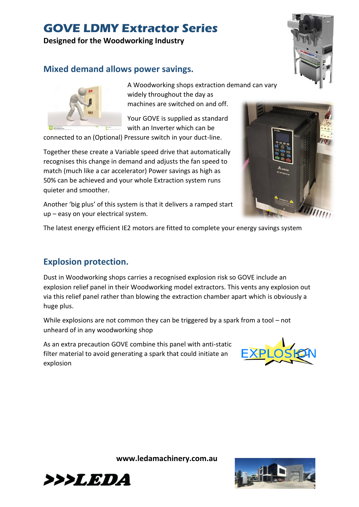#### **Designed for the Woodworking Industry**

## **Mixed demand allows power savings.**



A Woodworking shops extraction demand can vary widely throughout the day as machines are switched on and off.

Your GOVE is supplied as standard with an Inverter which can be

connected to an (Optional) Pressure switch in your duct-line.

Together these create a Variable speed drive that automatically recognises this change in demand and adjusts the fan speed to match (much like a car accelerator) Power savings as high as 50% can be achieved and your whole Extraction system runs quieter and smoother.

Another 'big plus' of this system is that it delivers a ramped start up – easy on your electrical system.

The latest energy efficient IE2 motors are fitted to complete your energy savings system

#### **Explosion protection.**

Dust in Woodworking shops carries a recognised explosion risk so GOVE include an explosion relief panel in their Woodworking model extractors. This vents any explosion out via this relief panel rather than blowing the extraction chamber apart which is obviously a huge plus.

While explosions are not common they can be triggered by a spark from a tool – not unheard of in any woodworking shop

As an extra precaution GOVE combine this panel with anti-static filter material to avoid generating a spark that could initiate an explosion









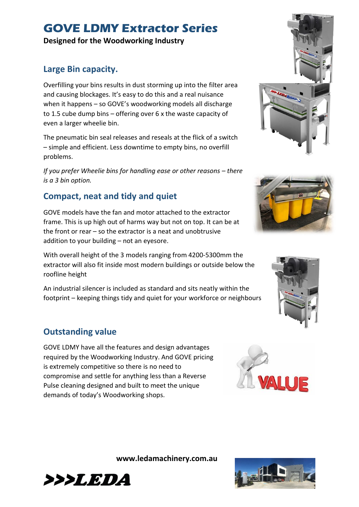**Designed for the Woodworking Industry**

### **Large Bin capacity.**

Overfilling your bins results in dust storming up into the filter area and causing blockages. It's easy to do this and a real nuisance when it happens – so GOVE's woodworking models all discharge to 1.5 cube dump bins – offering over 6 x the waste capacity of even a larger wheelie bin.

The pneumatic bin seal releases and reseals at the flick of a switch – simple and efficient. Less downtime to empty bins, no overfill problems.

*If you prefer Wheelie bins for handling ease or other reasons – there is a 3 bin option.*

## **Compact, neat and tidy and quiet**

GOVE models have the fan and motor attached to the extractor frame. This is up high out of harms way but not on top. It can be at the front or rear – so the extractor is a neat and unobtrusive addition to your building – not an eyesore.

With overall height of the 3 models ranging from 4200-5300mm the extractor will also fit inside most modern buildings or outside below the roofline height

An industrial silencer is included as standard and sits neatly within the footprint – keeping things tidy and quiet for your workforce or neighbours

## **Outstanding value**

GOVE LDMY have all the features and design advantages required by the Woodworking Industry. And GOVE pricing is extremely competitive so there is no need to compromise and settle for anything less than a Reverse Pulse cleaning designed and built to meet the unique demands of today's Woodworking shops.